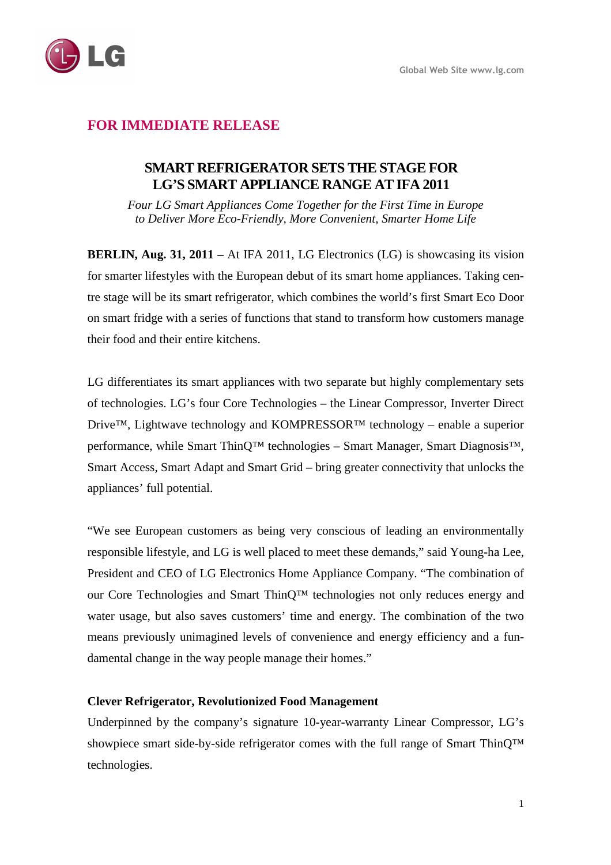

# **FOR IMMEDIATE RELEASE**

## **SMART REFRIGERATOR SETS THE STAGE FOR LG'S SMART APPLIANCE RANGE AT IFA 2011**

*Four LG Smart Appliances Come Together for the First Time in Europe to Deliver More Eco-Friendly, More Convenient, Smarter Home Life* 

**BERLIN, Aug. 31, 2011 –** At IFA 2011, LG Electronics (LG) is showcasing its vision for smarter lifestyles with the European debut of its smart home appliances. Taking centre stage will be its smart refrigerator, which combines the world's first Smart Eco Door on smart fridge with a series of functions that stand to transform how customers manage their food and their entire kitchens.

LG differentiates its smart appliances with two separate but highly complementary sets of technologies. LG's four Core Technologies – the Linear Compressor, Inverter Direct Drive™, Lightwave technology and KOMPRESSOR™ technology – enable a superior performance, while Smart ThinQ™ technologies – Smart Manager, Smart Diagnosis™, Smart Access, Smart Adapt and Smart Grid – bring greater connectivity that unlocks the appliances' full potential.

"We see European customers as being very conscious of leading an environmentally responsible lifestyle, and LG is well placed to meet these demands," said Young-ha Lee, President and CEO of LG Electronics Home Appliance Company. "The combination of our Core Technologies and Smart ThinQ™ technologies not only reduces energy and water usage, but also saves customers' time and energy. The combination of the two means previously unimagined levels of convenience and energy efficiency and a fundamental change in the way people manage their homes."

## **Clever Refrigerator, Revolutionized Food Management**

Underpinned by the company's signature 10-year-warranty Linear Compressor, LG's showpiece smart side-by-side refrigerator comes with the full range of Smart ThinQ™ technologies.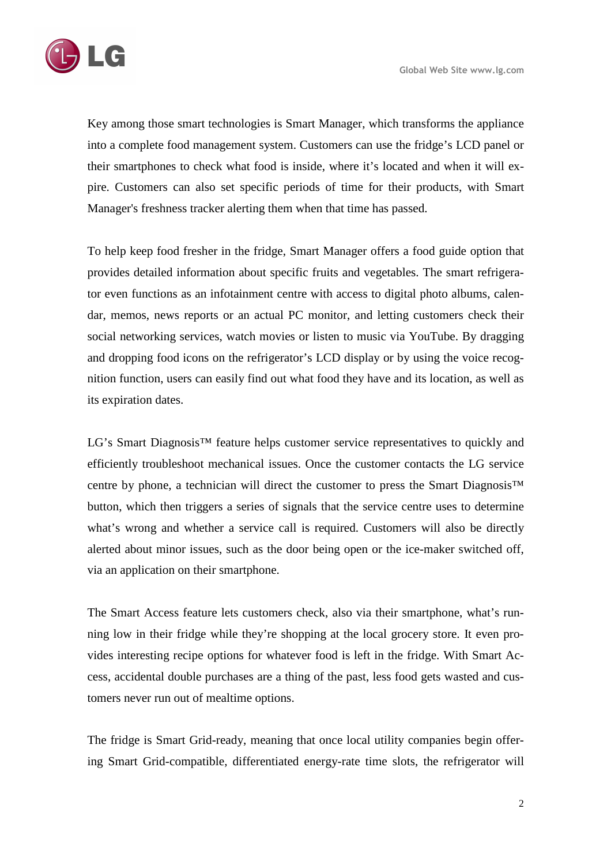

Key among those smart technologies is Smart Manager, which transforms the appliance into a complete food management system. Customers can use the fridge's LCD panel or their smartphones to check what food is inside, where it's located and when it will expire. Customers can also set specific periods of time for their products, with Smart Manager's freshness tracker alerting them when that time has passed.

To help keep food fresher in the fridge, Smart Manager offers a food guide option that provides detailed information about specific fruits and vegetables. The smart refrigerator even functions as an infotainment centre with access to digital photo albums, calendar, memos, news reports or an actual PC monitor, and letting customers check their social networking services, watch movies or listen to music via YouTube. By dragging and dropping food icons on the refrigerator's LCD display or by using the voice recognition function, users can easily find out what food they have and its location, as well as its expiration dates.

LG's Smart Diagnosis<sup>™</sup> feature helps customer service representatives to quickly and efficiently troubleshoot mechanical issues. Once the customer contacts the LG service centre by phone, a technician will direct the customer to press the Smart Diagnosis™ button, which then triggers a series of signals that the service centre uses to determine what's wrong and whether a service call is required. Customers will also be directly alerted about minor issues, such as the door being open or the ice-maker switched off, via an application on their smartphone.

The Smart Access feature lets customers check, also via their smartphone, what's running low in their fridge while they're shopping at the local grocery store. It even provides interesting recipe options for whatever food is left in the fridge. With Smart Access, accidental double purchases are a thing of the past, less food gets wasted and customers never run out of mealtime options.

The fridge is Smart Grid-ready, meaning that once local utility companies begin offering Smart Grid-compatible, differentiated energy-rate time slots, the refrigerator will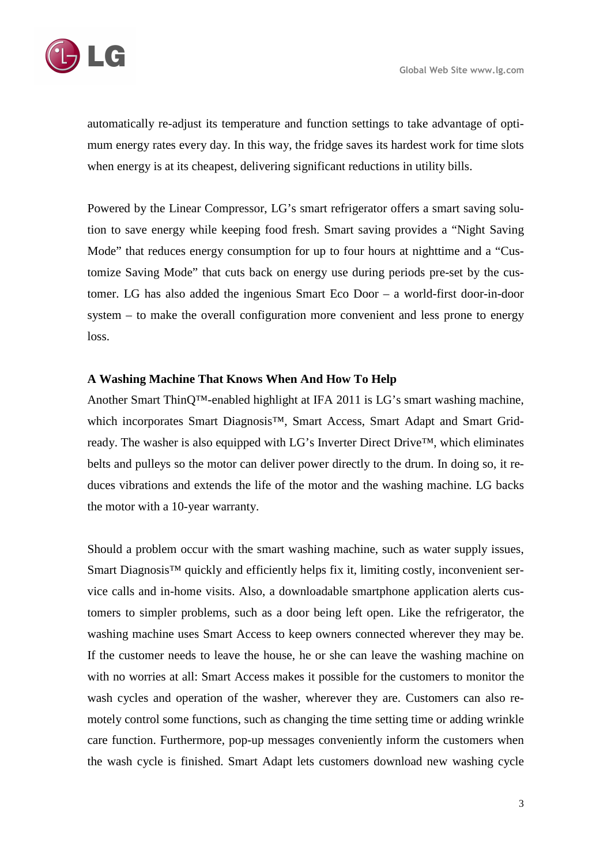

automatically re-adjust its temperature and function settings to take advantage of optimum energy rates every day. In this way, the fridge saves its hardest work for time slots when energy is at its cheapest, delivering significant reductions in utility bills.

Powered by the Linear Compressor, LG's smart refrigerator offers a smart saving solution to save energy while keeping food fresh. Smart saving provides a "Night Saving Mode" that reduces energy consumption for up to four hours at nighttime and a "Customize Saving Mode" that cuts back on energy use during periods pre-set by the customer. LG has also added the ingenious Smart Eco Door – a world-first door-in-door system – to make the overall configuration more convenient and less prone to energy loss.

#### **A Washing Machine That Knows When And How To Help**

Another Smart ThinQ™-enabled highlight at IFA 2011 is LG's smart washing machine, which incorporates Smart Diagnosis™, Smart Access, Smart Adapt and Smart Gridready. The washer is also equipped with LG's Inverter Direct Drive™, which eliminates belts and pulleys so the motor can deliver power directly to the drum. In doing so, it reduces vibrations and extends the life of the motor and the washing machine. LG backs the motor with a 10-year warranty.

Should a problem occur with the smart washing machine, such as water supply issues, Smart Diagnosis<sup>™</sup> quickly and efficiently helps fix it, limiting costly, inconvenient service calls and in-home visits. Also, a downloadable smartphone application alerts customers to simpler problems, such as a door being left open. Like the refrigerator, the washing machine uses Smart Access to keep owners connected wherever they may be. If the customer needs to leave the house, he or she can leave the washing machine on with no worries at all: Smart Access makes it possible for the customers to monitor the wash cycles and operation of the washer, wherever they are. Customers can also remotely control some functions, such as changing the time setting time or adding wrinkle care function. Furthermore, pop-up messages conveniently inform the customers when the wash cycle is finished. Smart Adapt lets customers download new washing cycle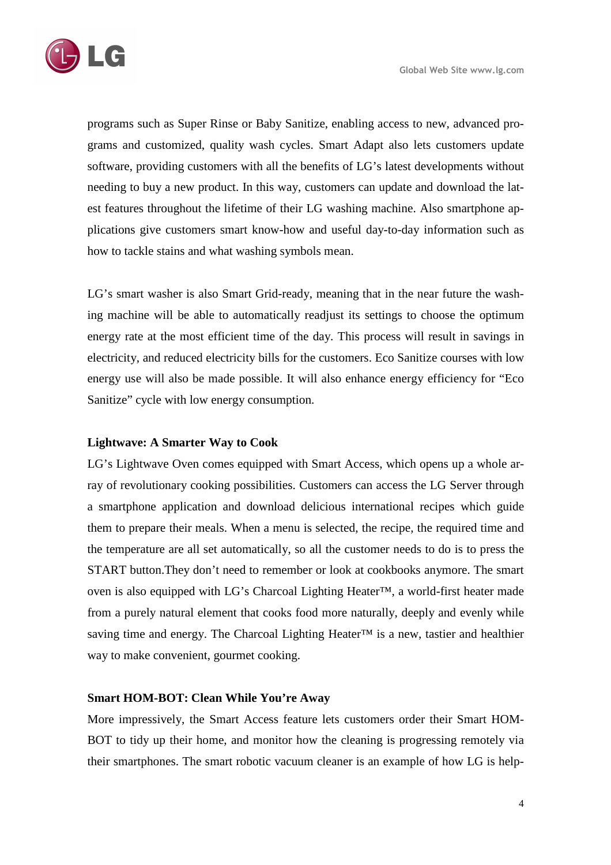programs such as Super Rinse or Baby Sanitize, enabling access to new, advanced programs and customized, quality wash cycles. Smart Adapt also lets customers update software, providing customers with all the benefits of LG's latest developments without needing to buy a new product. In this way, customers can update and download the latest features throughout the lifetime of their LG washing machine. Also smartphone applications give customers smart know-how and useful day-to-day information such as how to tackle stains and what washing symbols mean.

LG's smart washer is also Smart Grid-ready, meaning that in the near future the washing machine will be able to automatically readjust its settings to choose the optimum energy rate at the most efficient time of the day. This process will result in savings in electricity, and reduced electricity bills for the customers. Eco Sanitize courses with low energy use will also be made possible. It will also enhance energy efficiency for "Eco Sanitize" cycle with low energy consumption.

## **Lightwave: A Smarter Way to Cook**

LG's Lightwave Oven comes equipped with Smart Access, which opens up a whole array of revolutionary cooking possibilities. Customers can access the LG Server through a smartphone application and download delicious international recipes which guide them to prepare their meals. When a menu is selected, the recipe, the required time and the temperature are all set automatically, so all the customer needs to do is to press the START button.They don't need to remember or look at cookbooks anymore. The smart oven is also equipped with LG's Charcoal Lighting Heater™, a world-first heater made from a purely natural element that cooks food more naturally, deeply and evenly while saving time and energy. The Charcoal Lighting Heater<sup>™</sup> is a new, tastier and healthier way to make convenient, gourmet cooking.

### **Smart HOM-BOT: Clean While You're Away**

More impressively, the Smart Access feature lets customers order their Smart HOM-BOT to tidy up their home, and monitor how the cleaning is progressing remotely via their smartphones. The smart robotic vacuum cleaner is an example of how LG is help-